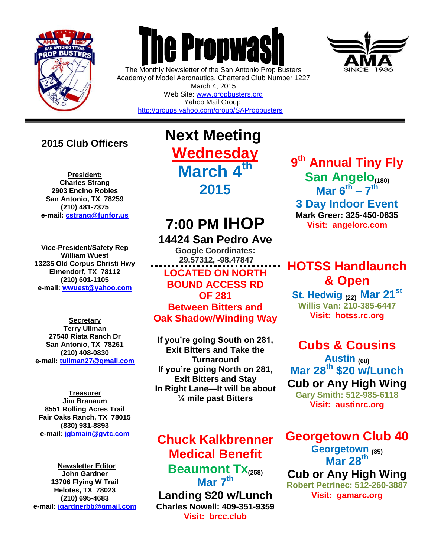

 $\overline{a}$ 

# **The Propwas**

The Monthly Newsletter of the San Antonio Prop Busters Academy of Model Aeronautics, Chartered Club Number 1227 March 4, 2015 Web Site: [www.propbusters.org](http://www.propbusters.org/)

Yahoo Mail Group: <http://groups.yahoo.com/group/SAPropbusters>

### **2015 Club Officers**

**President: Charles Strang 2903 Encino Robles San Antonio, TX 78259 (210) 481-7375 e-mail: [cstrang@funfor.us](mailto:cstrang@funfor.us)**

**Vice-President/Safety Rep William Wuest 13235 Old Corpus Christi Hwy Elmendorf, TX 78112 (210) 601-1105 e-mail: [wwuest@yahoo.com](mailto:crashsiegel@yahoo.com)**

**Secretary Terry Ullman 27540 Riata Ranch Dr San Antonio, TX 78261 (210) 408-0830 e-mail: [tullman27@gmail.com](mailto:tullman27@gmail.com)**

**Treasurer Jim Branaum 8551 Rolling Acres Trail Fair Oaks Ranch, TX 78015 (830) 981-8893 e-mail: [jgbmain@gvtc.com](mailto:jgbmain@gvtc.com)**

**Newsletter Editor John Gardner 13706 Flying W Trail Helotes, TX 78023 (210) 695-4683 e-mail: [jgardnerbb@gmail.com](mailto:jgardnerbb@gmail.com)** **Next Meeting Wednesday March 4 th 2015**

## **7:00 PM IHOP**

**14424 San Pedro Ave Google Coordinates: 29.57312, -98.47847 LOCATED ON NORTH BOUND ACCESS RD OF 281 Between Bitters and Oak Shadow/Winding Way**

**If you're going South on 281, Exit Bitters and Take the Turnaround If you're going North on 281, Exit Bitters and Stay In Right Lane—It will be about ¼ mile past Bitters**

## **Chuck Kalkbrenner Medical Benefit**

**Beaumont Tx(258) Mar 7 th**

**Landing \$20 w/Lunch Charles Nowell: 409-351-9359 Visit: brcc.club** 

**9 th Annual Tiny Fly**  San Angelo<sub>(180)</sub> **Mar 6 th – 7 th 3 Day Indoor Event Mark Greer: 325-450-0635 Visit: angelorc.com**

## **HOTSS Handlaunch & Open**

**St. Hedwig (22) Mar 21 st Willis Van: 210-385-6447 Visit: hotss.rc.org**

## **Cubs & Cousins**

**Austin (68) Mar 28th \$20 w/Lunch Cub or Any High Wing Gary Smith: 512-985-6118**

**Visit: austinrc.org**

**Georgetown Club 40**

**Georgetown (85) Mar 28th**

**Cub or Any High Wing Robert Petrinec: 512-260-3887 Visit: gamarc.org**

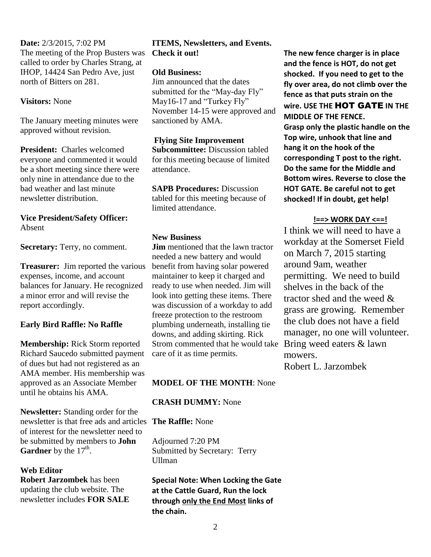**Date:** 2/3/2015, 7:02 PM The meeting of the Prop Busters was called to order by Charles Strang, at IHOP, 14424 San Pedro Ave, just north of Bitters on 281.

#### **Visitors:** None

The January meeting minutes were approved without revision.

**President:** Charles welcomed everyone and commented it would be a short meeting since there were only nine in attendance due to the bad weather and last minute newsletter distribution.

#### **Vice President/Safety Officer:** Absent

**Secretary:** Terry, no comment.

**Treasurer:** Jim reported the various expenses, income, and account balances for January. He recognized a minor error and will revise the report accordingly.

#### **Early Bird Raffle: No Raffle**

**Membership:** Rick Storm reported Richard Saucedo submitted payment of dues but had not registered as an AMA member. His membership was approved as an Associate Member until he obtains his AMA.

**Newsletter:** Standing order for the newsletter is that free ads and articles **The Raffle:** None of interest for the newsletter need to be submitted by members to **John Gardner** by the  $17<sup>th</sup>$ .

#### **Web Editor**

**Robert Jarzombek** has been updating the club website. The newsletter includes **FOR SALE** 

#### **ITEMS, Newsletters, and Events. Check it out!**

#### **Old Business:**

Jim announced that the dates submitted for the "May-day Fly" May16-17 and "Turkey Fly" November 14-15 were approved and sanctioned by AMA.

#### **Flying Site Improvement**

**Subcommittee:** Discussion tabled for this meeting because of limited attendance.

**SAPB Procedures: Discussion** tabled for this meeting because of limited attendance.

#### **New Business**

**Jim** mentioned that the lawn tractor needed a new battery and would benefit from having solar powered maintainer to keep it charged and ready to use when needed. Jim will look into getting these items. There was discussion of a workday to add freeze protection to the restroom plumbing underneath, installing tie downs, and adding skirting. Rick Strom commented that he would take Bring weed eaters  $\&$  lawn care of it as time permits.

#### **MODEL OF THE MONTH**: None

#### **CRASH DUMMY:** None

Adjourned 7:20 PM Submitted by Secretary: Terry Ullman

**Special Note: When Locking the Gate at the Cattle Guard, Run the lock through only the End Most links of the chain.** 

**The new fence charger is in place and the fence is HOT, do not get shocked. If you need to get to the fly over area, do not climb over the fence as that puts strain on the wire. USE THE** HOT GATE **IN THE MIDDLE OF THE FENCE. Grasp only the plastic handle on the Top wire, unhook that line and hang it on the hook of the corresponding T post to the right. Do the same for the Middle and Bottom wires. Reverse to close the HOT GATE. Be careful not to get shocked! If in doubt, get help!**

#### **!==> WORK DAY <==!**

I think we will need to have a workday at the Somerset Field on March 7, 2015 starting around 9am, weather permitting. We need to build shelves in the back of the tractor shed and the weed & grass are growing. Remember the club does not have a field manager, no one will volunteer. mowers. Robert L. Jarzombek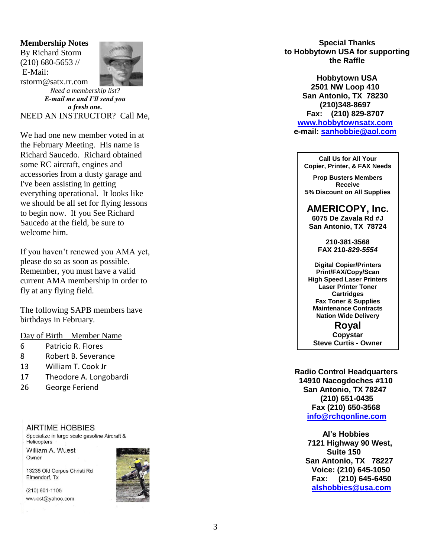#### **Membership Notes** By Richard Storm

(210) 680 -5653 // E -Mail: rstorm@satx.rr.com



*Need a membership list? E -mail me and I'll send you a fresh one.* NEED AN INSTRUCTOR? Call Me,

We had one new member voted in at the February Meeting. His name is Richard Saucedo. Richard obtained some RC aircraft, engines and accessories from a dusty garage and I've been assisting in getting everything operational. It looks like we should be all set for flying lessons to begin now. If you See Richard Saucedo at the field, be sure to welcome him.

If you haven't renewed you AMA yet, please do so as soon as possible. Remember, you must have a valid current AMA membership in order to fly at any flying field.

The following SAPB members have birthdays in February.

#### Day of Birth Member Name

- <sup>6</sup> Patricio R. Flores 8 Robert B. Severance
- 
- 13 William T. Cook Jr
- 17 Theodore A. Longobardi
- 26 George Feriend

#### **AIRTIME HOBBIES**

Specialize in large scale gasoline Aircraft & Helicopters

William A. Wuest Owner

13235 Old Corpus Christi Rd Elmendorf, Tx

 $(210)$  601-1105 wwuest@yahoo.com



**Special Thanks to Hobbytown USA for supporting the Raffle**

**Hobbytown USA 2501 NW Loop 410 San Antonio, TX 78230 (210)348 -8697 Fax: (210) 829 -8707 [www.hobbytownsatx.com](http://www.hobbytownsatx.com/) e-mail: [sanhobbie@aol.com](mailto:sanhobbie@aol.com)**

**Call Us for All Your Copier, Printer, & FAX Needs**

**Prop Busters Members Receive 5% Discount on All Supplies**

**AMERICOPY, Inc.**

**6075 De Zavala Rd #J San Antonio, TX 78724**

> **210 -381 -3568 FAX 210 -***829 -5554*

**Digital Copier/Printers Print/FAX/Copy/Scan High Speed Laser Printers Laser Printer Toner Cartridges Fax Toner & Supplies Maintenance Contracts Nation Wide Delivery**

**Royal Copystar Steve Curtis - Owner**

 **Radio Control Headquarters 14910 Nacogdoches #110 San Antonio, TX 78247 (210) 651 -0435 Fax (210) 650 -3568 [info@rchqonline.com](mailto:info@rchqonline.com)**

 **Al's Hobbies 7121 Highway 90 West, Suite 150 San Antonio, TX 78227 Voice: (210) 645 -1050 Fax: (210) 645 -6450 [alshobbies@usa.com](mailto:alshobbies@usa.com)**